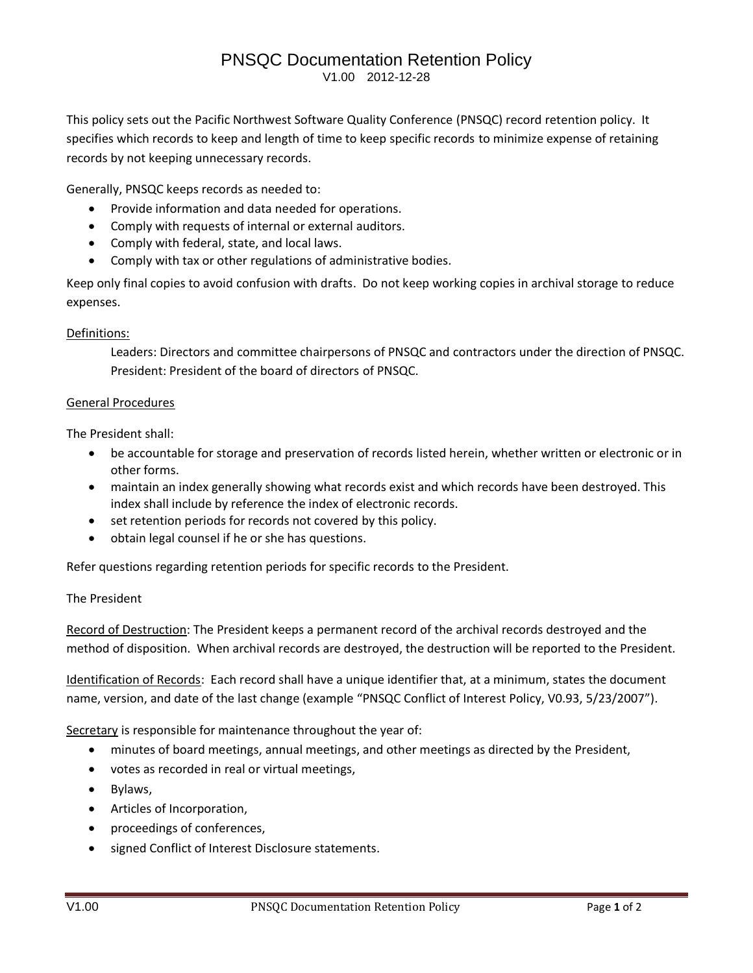### PNSQC Documentation Retention Policy V1.00 2012-12-28

This policy sets out the Pacific Northwest Software Quality Conference (PNSQC) record retention policy. It specifies which records to keep and length of time to keep specific records to minimize expense of retaining records by not keeping unnecessary records.

Generally, PNSQC keeps records as needed to:

- Provide information and data needed for operations.
- Comply with requests of internal or external auditors.
- Comply with federal, state, and local laws.
- Comply with tax or other regulations of administrative bodies.

Keep only final copies to avoid confusion with drafts. Do not keep working copies in archival storage to reduce expenses.

### Definitions:

Leaders: Directors and committee chairpersons of PNSQC and contractors under the direction of PNSQC. President: President of the board of directors of PNSQC.

#### General Procedures

The President shall:

- be accountable for storage and preservation of records listed herein, whether written or electronic or in other forms.
- maintain an index generally showing what records exist and which records have been destroyed. This index shall include by reference the index of electronic records.
- set retention periods for records not covered by this policy.
- obtain legal counsel if he or she has questions.

Refer questions regarding retention periods for specific records to the President.

#### The President

Record of Destruction: The President keeps a permanent record of the archival records destroyed and the method of disposition. When archival records are destroyed, the destruction will be reported to the President.

Identification of Records: Each record shall have a unique identifier that, at a minimum, states the document name, version, and date of the last change (example "PNSQC Conflict of Interest Policy, V0.93, 5/23/2007").

Secretary is responsible for maintenance throughout the year of:

- minutes of board meetings, annual meetings, and other meetings as directed by the President,
- votes as recorded in real or virtual meetings,
- Bylaws,
- Articles of Incorporation,
- proceedings of conferences,
- signed Conflict of Interest Disclosure statements.